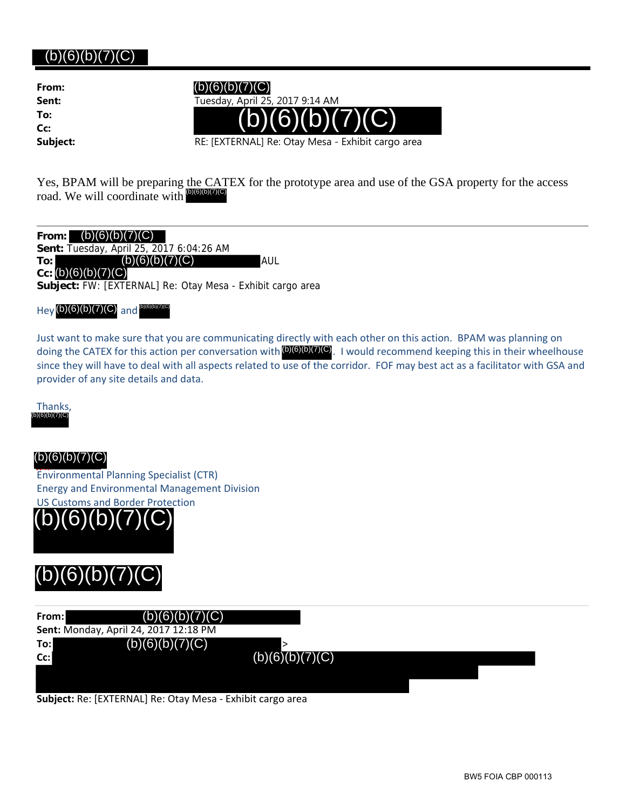# (b)(6)(b)(7)(C)

**From: To: Cc:**

**Sent:** Tuesday, April 25, 2017 9:14 AM



**Subject:** RE: [EXTERNAL] Re: Otay Mesa - Exhibit cargo area

Yes, BPAM will be preparing the CATEX for the prototype area and use of the GSA property for the access road. We will coordinate with  $^{60(6)(6)(7)(C)}$ 

**From: Sent:** Tuesday, April 25, 2017 6:04:26 AM **To:** (b)(6)(b)(7)(C) AUL  $Cc: (b)(6)(b)(7)(C)$ **Subject:** FW: [EXTERNAL] Re: Otay Mesa - Exhibit cargo area

 $Hey(b)(6)(b)(7)(C)$  and  $^{(b)(6)(b)(7)(C)}$ 

Just want to make sure that you are communicating directly with each other on this action. BPAM was planning on doing the CATEX for this action per conversation with  $\omega(6)(0)$  (7)(C). I would recommend keeping this in their wheelhouse since they will have to deal with all aspects related to use of the corridor. FOF may best act as a facilitator with GSA and provider of any site details and data. (b)(6)(b)(7)(C) (b)(6)(b)(7)(C) (b)(6)(b)(7)(C) (b)(6)(b)(7)(C) (b)(6)(b)(7)(C) (b)(6)(b)(7)(C) (b)(6)(b)(7)(C) (b)(6)(b)(7)(C) (b)(6)(b)(7)(C)



## $(b)(6)(b)(7)(C)$

Environmental Planning Specialist (CTR) Energy and Environmental Management Division US Customs and Border Protection



| From:  | (b)(6)(b)(7)(C)                       |                 |
|--------|---------------------------------------|-----------------|
|        | Sent: Monday, April 24, 2017 12:18 PM |                 |
| To:l   | (b)(6)(b)(7)(C)                       |                 |
| $Cc$ : |                                       | (b)(6)(b)(7)(C) |
|        |                                       |                 |
|        |                                       |                 |

**Subject:** Re: [EXTERNAL] Re: Otay Mesa ‐ Exhibit cargo area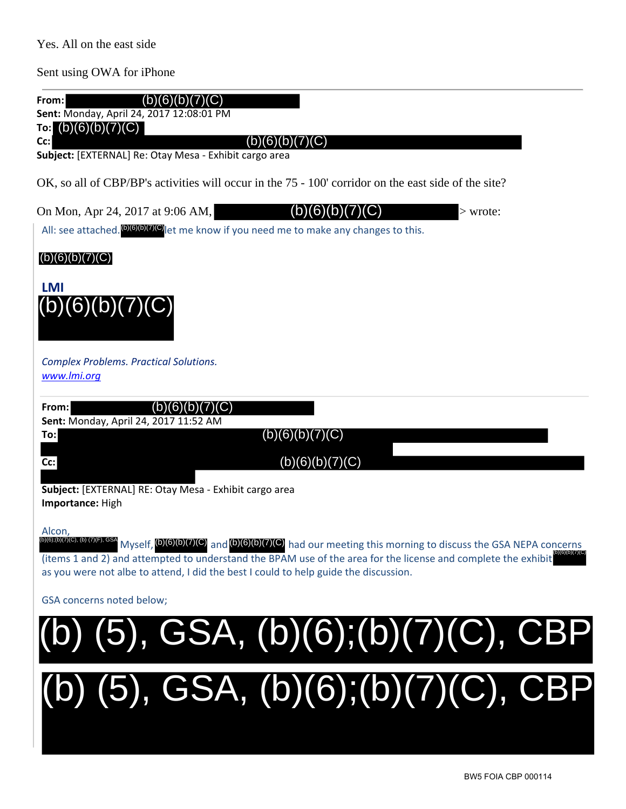Yes. All on the east side

Sent using OWA for iPhone

| (b)(6)(b)(7 <u>)(C)</u><br>From:<br>Sent: Monday, April 24, 2017 12:08:01 PM<br>To: $(b)(6)(b)(7)(C)$                                                                                                                                                                                                                                                                                  |
|----------------------------------------------------------------------------------------------------------------------------------------------------------------------------------------------------------------------------------------------------------------------------------------------------------------------------------------------------------------------------------------|
| (b)(6)(b)(7)(C)<br>Cc:<br>Subject: [EXTERNAL] Re: Otay Mesa - Exhibit cargo area                                                                                                                                                                                                                                                                                                       |
| OK, so all of CBP/BP's activities will occur in the 75 - 100' corridor on the east side of the site?                                                                                                                                                                                                                                                                                   |
| (b)(6)(b)(7)(C)<br>On Mon, Apr 24, 2017 at 9:06 AM,<br>$>$ wrote:<br>All: see attached. <b>DICIONATIO</b> et me know if you need me to make any changes to this.                                                                                                                                                                                                                       |
| (b)(6)(b)(7)(C)                                                                                                                                                                                                                                                                                                                                                                        |
| <b>LMI</b><br>(b)(6)(b)(7)(C)                                                                                                                                                                                                                                                                                                                                                          |
| <b>Complex Problems. Practical Solutions.</b><br>www.lmi.org                                                                                                                                                                                                                                                                                                                           |
| (b)(6)(b)(7)(C)<br>From:<br>Sent: Monday, April 24, 2017 11:52 AM<br>(b)(6)(b)(7)(C)<br>To:<br>(b)(6)(b)(7)(C)<br>Cc:<br>Subject: [EXTERNAL] RE: Otay Mesa - Exhibit cargo area<br>Importance: High                                                                                                                                                                                    |
| Alcon,<br>))(6);(b)(7)(C), (b) (7)(F), GSA<br>Myself, $(b)(6)(b)(7)(C)$ and $(b)(6)(b)(7)(C)$ had our meeting this morning to discuss the GSA NEPA concerns<br>(items 1 and 2) and attempted to understand the BPAM use of the area for the license and complete the exhibit <b>DIGICIOTER</b><br>as you were not albe to attend, I did the best I could to help guide the discussion. |
| GSA concerns noted below;                                                                                                                                                                                                                                                                                                                                                              |
| (b) (5), GSA, (b)(6);(b)(7)(C), CBP                                                                                                                                                                                                                                                                                                                                                    |
| $(b)$ (5), GSA, $(b)(6)$ ; $(b)(7)(C)$ , CBP                                                                                                                                                                                                                                                                                                                                           |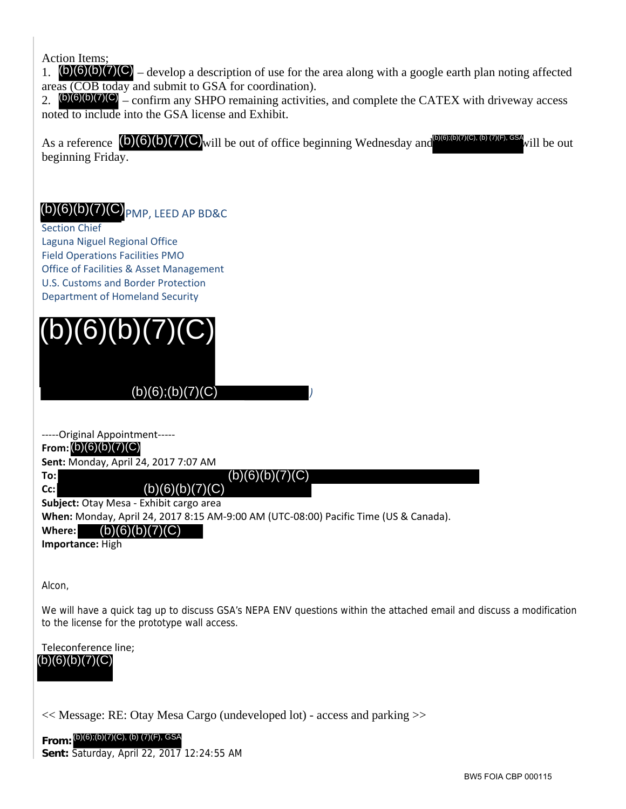Action Items;

1.  $(b)(6)(b)(7)(C)$  – develop a description of use for the area along with a google earth plan noting affected areas (COB today and submit to GSA for coordination).

2.  $(b)(6)(b)(7)(C)$  – confirm any SHPO remaining activities, and complete the CATEX with driveway access noted to include into the GSA license and Exhibit.

As a reference  $(0)(6)(b)(7)(C)$  will be out of office beginning Wednesday and  $(0)(6)(0)(7)(C)$ , (b)  $(7)(F)$ , GSA will be out beginning Friday. Eference **(B)(6)(6)(7)(C)** will be out of office beginning Wednesday and<br>ting Friday.<br>
(B)(7)(C) (PMP, LEED AP BD&C<br>
Chief<br>
Ingitations Facilities A Asser Management<br>
Ingitations Facilities A Asser Management<br>
Ingitations

# $(b)(6)(b)(7)(C)$  PMP, LEED AP BD&C

Section Chief Laguna Niguel Regional Office Field Operations Facilities PMO Office of Facilities & Asset Management U.S. Customs and Border Protection Department of Homeland Security (b)(6)(b)(7)(C)  $_{\text{PMP, LEED AP BDS}}$ <br>
Section Chief<br>
Laguna Niguel Regional Office<br>
Field Operations Facilities PMO<br>
Office of Facilities & Asset Managemer<br>
U.S. Customs and Border Protection<br>
Department of Homeland Security<br>



# )(6);(b)(7)(C)<br>ent-----<br>4, 2017 7:07 AM<br>(b)(6)(b)(7)(C)<br>(b)(6)(b)(7)(C)

‐‐‐‐‐Original Appointment‐‐‐‐‐

### **From:** (b)(6)(b)(7)(C)

**Sent:** Monday, April 24, 2017 7:07 AM

**To: Cc:**

(b)(6)(b)(7)(C)

**Subject:** Otay Mesa ‐ Exhibit cargo area

**When:** Monday, April 24, 2017 8:15 AM‐9:00 AM (UTC‐08:00) Pacific Time (US & Canada).

**Where:**  $(b)(6)(b)(7)(C)$ 

**Importance:** High

Alcon,

We will have a quick tag up to discuss GSA's NEPA ENV questions within the attached email and discuss a modification to the license for the prototype wall access.

*)*

Teleconference line; (b)(6)(b)(7)(C)

<< Message: RE: Otay Mesa Cargo (undeveloped lot) - access and parking >>

**From: Sent:** Saturday, April 22, 2017 12:24:55 AM